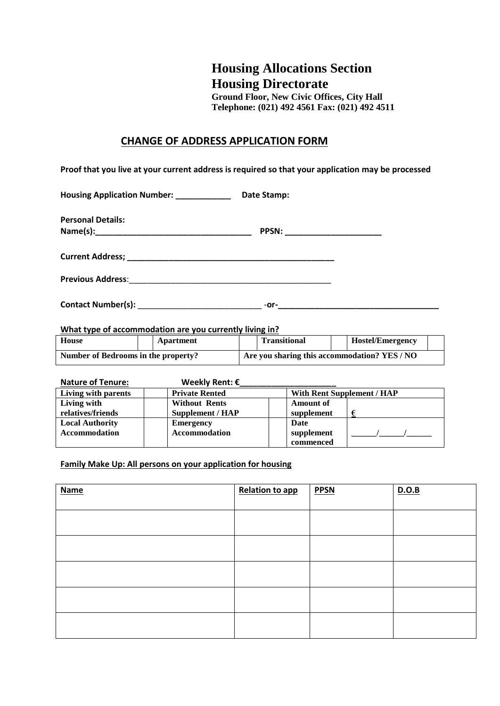## **Housing Allocations Section Housing Directorate**

**Ground Floor, New Civic Offices, City Hall Telephone: (021) 492 4561 Fax: (021) 492 4511**

## **CHANGE OF ADDRESS APPLICATION FORM**

**Proof that you live at your current address is required so that your application may be processed**

**Housing Application Number: \_\_\_\_\_\_\_\_\_\_\_\_ Date Stamp:**

**Contact Number(s):** \_\_\_\_\_\_\_\_\_\_\_\_\_\_\_\_\_\_\_\_\_\_\_\_\_\_\_ -**or-\_\_\_\_\_\_\_\_\_\_\_\_\_\_\_\_\_\_\_\_\_\_\_\_\_\_\_\_\_\_\_\_\_\_\_**

**What type of accommodation are you currently living in?**

| House                               |  | Apartment                                    |  | <b>Transitional</b> |  | Hostel/Emergency |  |
|-------------------------------------|--|----------------------------------------------|--|---------------------|--|------------------|--|
| Number of Bedrooms in the property? |  | Are you sharing this accommodation? YES / NO |  |                     |  |                  |  |

**Nature of Tenure: Weekly Rent: €\_\_\_\_\_\_\_\_\_\_\_\_\_\_\_\_\_\_\_\_\_**

| Living with parents    | <b>Private Rented</b> | <b>With Rent Supplement / HAP</b> |  |
|------------------------|-----------------------|-----------------------------------|--|
| Living with            | <b>Without Rents</b>  | <b>Amount of</b>                  |  |
| relatives/friends      | Supplement / HAP      | supplement                        |  |
| <b>Local Authority</b> | <b>Emergency</b>      | Date                              |  |
| <b>Accommodation</b>   | <b>Accommodation</b>  | supplement                        |  |
|                        |                       | commenced                         |  |

**Family Make Up: All persons on your application for housing**

| <b>Name</b> | <b>Relation to app</b> | <b>PPSN</b> | D.O.B |
|-------------|------------------------|-------------|-------|
|             |                        |             |       |
|             |                        |             |       |
|             |                        |             |       |
|             |                        |             |       |
|             |                        |             |       |
|             |                        |             |       |
|             |                        |             |       |
|             |                        |             |       |
|             |                        |             |       |
|             |                        |             |       |
|             |                        |             |       |